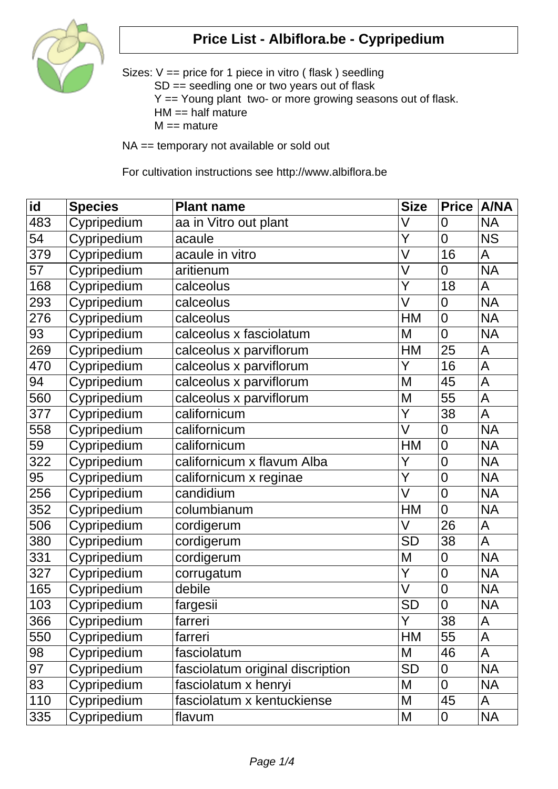

Sizes: V == price for 1 piece in vitro ( flask ) seedling SD == seedling one or two years out of flask Y == Young plant two- or more growing seasons out of flask.  $HM == half mature$  $M ==$  mature

NA == temporary not available or sold out

For cultivation instructions see http://www.albiflora.be

| $\overline{\mathsf{id}}$ | <b>Species</b> | <b>Plant name</b>                | <b>Size</b>             | <b>Price</b>   | <b>A/NA</b>    |
|--------------------------|----------------|----------------------------------|-------------------------|----------------|----------------|
| 483                      | Cypripedium    | aa in Vitro out plant            | V                       | 0              | <b>NA</b>      |
| 54                       | Cypripedium    | acaule                           | Y                       | $\overline{0}$ | <b>NS</b>      |
| 379                      | Cypripedium    | acaule in vitro                  | $\overline{\vee}$       | 16             | A              |
| 57                       | Cypripedium    | aritienum                        | V                       | $\overline{0}$ | <b>NA</b>      |
| 168                      | Cypripedium    | calceolus                        | $\overline{\mathsf{Y}}$ | 18             | A              |
| 293                      | Cypripedium    | calceolus                        | $\overline{\mathsf{V}}$ | 0              | <b>NA</b>      |
| 276                      | Cypripedium    | calceolus                        | HM                      | $\overline{0}$ | <b>NA</b>      |
| 93                       | Cypripedium    | calceolus x fasciolatum          | M                       | $\overline{0}$ | <b>NA</b>      |
| 269                      | Cypripedium    | calceolus x parviflorum          | <b>HM</b>               | 25             | A              |
| 470                      | Cypripedium    | calceolus x parviflorum          | Y                       | 16             | A              |
| 94                       | Cypripedium    | calceolus x parviflorum          | M                       | 45             | $\mathsf{A}$   |
| 560                      | Cypripedium    | calceolus x parviflorum          | M                       | 55             | $\mathsf{A}$   |
| 377                      | Cypripedium    | californicum                     | Y                       | 38             | A              |
| 558                      | Cypripedium    | californicum                     | V                       | $\overline{0}$ | <b>NA</b>      |
| 59                       | Cypripedium    | californicum                     | <b>HM</b>               | $\overline{0}$ | <b>NA</b>      |
| 322                      | Cypripedium    | californicum x flavum Alba       | Y                       | $\overline{0}$ | <b>NA</b>      |
| $\overline{95}$          | Cypripedium    | californicum x reginae           | $\overline{\mathsf{Y}}$ | $\overline{0}$ | <b>NA</b>      |
| 256                      | Cypripedium    | candidium                        | V                       | $\overline{0}$ | <b>NA</b>      |
| 352                      | Cypripedium    | columbianum                      | HM                      | $\overline{0}$ | <b>NA</b>      |
| 506                      | Cypripedium    | cordigerum                       | V                       | 26             | A              |
| 380                      | Cypripedium    | cordigerum                       | <b>SD</b>               | 38             | $\overline{A}$ |
| 331                      | Cypripedium    | cordigerum                       | M                       | $\overline{0}$ | <b>NA</b>      |
| 327                      | Cypripedium    | corrugatum                       | $\overline{\mathsf{Y}}$ | $\overline{0}$ | <b>NA</b>      |
| 165                      | Cypripedium    | debile                           | $\vee$                  | $\overline{0}$ | <b>NA</b>      |
| 103                      | Cypripedium    | fargesii                         | <b>SD</b>               | $\overline{0}$ | <b>NA</b>      |
| 366                      | Cypripedium    | farreri                          | Y                       | 38             | A              |
| 550                      | Cypripedium    | farreri                          | HM                      | 55             | A              |
| 98                       | Cypripedium    | fasciolatum                      | M                       | 46             | A              |
| 97                       | Cypripedium    | fasciolatum original discription | SD                      | 0              | <b>NA</b>      |
| 83                       | Cypripedium    | fasciolatum x henryi             | M                       | $\overline{0}$ | <b>NA</b>      |
| 110                      | Cypripedium    | fasciolatum x kentuckiense       | M                       | 45             | A              |
| 335                      | Cypripedium    | flavum                           | M                       | 0              | <b>NA</b>      |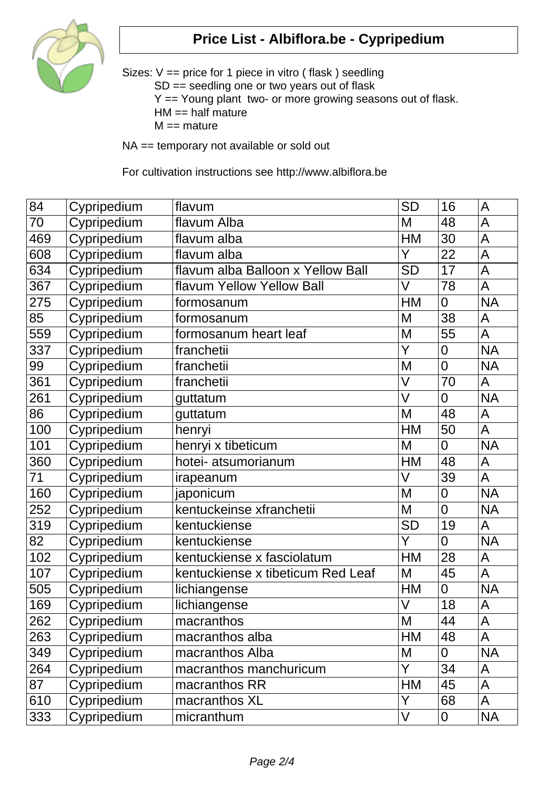

Sizes: V == price for 1 piece in vitro ( flask ) seedling SD == seedling one or two years out of flask Y == Young plant two- or more growing seasons out of flask.  $HM == half mature$  $M ==$  mature

NA == temporary not available or sold out

For cultivation instructions see http://www.albiflora.be

| 84              | Cypripedium | flavum                            | <b>SD</b> | 16             | A              |
|-----------------|-------------|-----------------------------------|-----------|----------------|----------------|
| 70              | Cypripedium | flavum Alba                       | M         | 48             | A              |
| 469             | Cypripedium | flavum alba                       | <b>HM</b> | 30             | A              |
| 608             | Cypripedium | flavum alba                       | Y         | 22             | A              |
| 634             | Cypripedium | flavum alba Balloon x Yellow Ball | <b>SD</b> | 17             | $\overline{A}$ |
| 367             | Cypripedium | flavum Yellow Yellow Ball         | V         | 78             | A              |
| 275             | Cypripedium | formosanum                        | HM        | $\overline{0}$ | <b>NA</b>      |
| 85              | Cypripedium | formosanum                        | M         | 38             | A              |
| 559             | Cypripedium | formosanum heart leaf             | M         | 55             | A              |
| 337             | Cypripedium | franchetii                        | Y         | 0              | <b>NA</b>      |
| 99              | Cypripedium | franchetii                        | M         | $\overline{0}$ | <b>NA</b>      |
| 361             | Cypripedium | franchetii                        | $\vee$    | 70             | A              |
| 261             | Cypripedium | guttatum                          | V         | $\overline{0}$ | <b>NA</b>      |
| 86              | Cypripedium | guttatum                          | M         | 48             | A              |
| 100             | Cypripedium | henryi                            | <b>HM</b> | 50             | A              |
| 101             | Cypripedium | henryi x tibeticum                | M         | $\overline{0}$ | <b>NA</b>      |
| 360             | Cypripedium | hotei- atsumorianum               | <b>HM</b> | 48             | A              |
| $\overline{71}$ | Cypripedium | irapeanum                         | V         | 39             | A              |
| 160             | Cypripedium | japonicum                         | M         | $\mathbf 0$    | <b>NA</b>      |
| 252             | Cypripedium | kentuckeinse xfranchetii          | M         | $\overline{0}$ | <b>NA</b>      |
| 319             | Cypripedium | kentuckiense                      | <b>SD</b> | 19             | A              |
| 82              | Cypripedium | kentuckiense                      | Y         | $\overline{0}$ | <b>NA</b>      |
| 102             | Cypripedium | kentuckiense x fasciolatum        | <b>HM</b> | 28             | $\mathsf{A}$   |
| 107             | Cypripedium | kentuckiense x tibeticum Red Leaf | M         | 45             | A              |
| 505             | Cypripedium | lichiangense                      | HM        | $\overline{0}$ | <b>NA</b>      |
| 169             | Cypripedium | lichiangense                      | V         | 18             | A              |
| 262             | Cypripedium | macranthos                        | M         | 44             | A              |
| 263             | Cypripedium | macranthos alba                   | HM        | 48             | A              |
| 349             | Cypripedium | macranthos Alba                   | M         | $\overline{0}$ | <b>NA</b>      |
| 264             | Cypripedium | macranthos manchuricum            | Y         | 34             | A              |
| 87              | Cypripedium | macranthos RR                     | HM        | 45             | A              |
| 610             | Cypripedium | macranthos XL                     | Y         | 68             | A              |
| 333             | Cypripedium | micranthum                        | V         | 0              | <b>NA</b>      |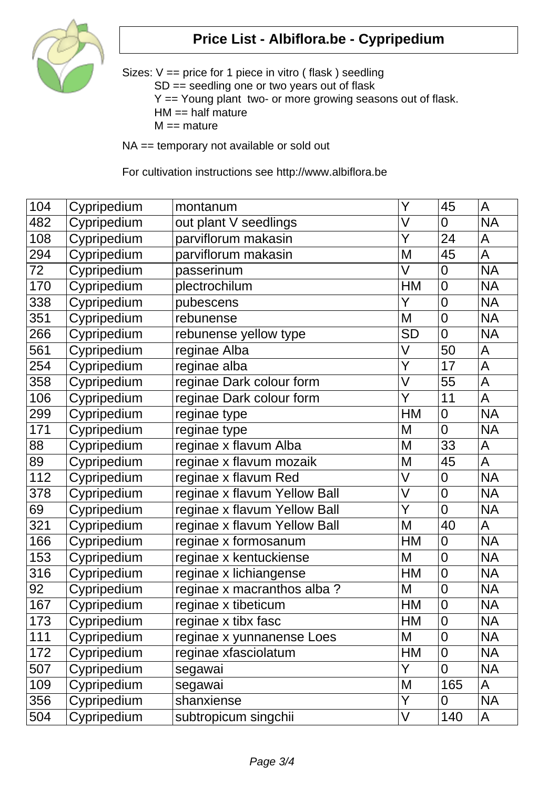

Sizes: V == price for 1 piece in vitro ( flask ) seedling SD == seedling one or two years out of flask Y == Young plant two- or more growing seasons out of flask.  $HM == half mature$  $M ==$  mature

NA == temporary not available or sold out

For cultivation instructions see http://www.albiflora.be

| 104 | Cypripedium | montanum                     | Y                       | 45             | A              |
|-----|-------------|------------------------------|-------------------------|----------------|----------------|
| 482 | Cypripedium | out plant V seedlings        | V                       | $\overline{0}$ | <b>NA</b>      |
| 108 | Cypripedium | parviflorum makasin          | Y                       | 24             | A              |
| 294 | Cypripedium | parviflorum makasin          | M                       | 45             | $\overline{A}$ |
| 72  | Cypripedium | passerinum                   | V                       | $\overline{0}$ | <b>NA</b>      |
| 170 | Cypripedium | plectrochilum                | <b>HM</b>               | $\overline{0}$ | <b>NA</b>      |
| 338 | Cypripedium | pubescens                    | Y                       | $\overline{0}$ | <b>NA</b>      |
| 351 | Cypripedium | rebunense                    | M                       | $\overline{0}$ | <b>NA</b>      |
| 266 | Cypripedium | rebunense yellow type        | <b>SD</b>               | $\overline{0}$ | <b>NA</b>      |
| 561 | Cypripedium | reginae Alba                 | V                       | 50             | A              |
| 254 | Cypripedium | reginae alba                 | $\overline{\mathsf{Y}}$ | 17             | $\mathsf A$    |
| 358 | Cypripedium | reginae Dark colour form     | $\overline{\mathsf{V}}$ | 55             | $\mathsf{A}$   |
| 106 | Cypripedium | reginae Dark colour form     | Y                       | 11             | $\overline{A}$ |
| 299 | Cypripedium | reginae type                 | HM                      | $\overline{0}$ | <b>NA</b>      |
| 171 | Cypripedium | reginae type                 | M                       | $\overline{0}$ | <b>NA</b>      |
| 88  | Cypripedium | reginae x flavum Alba        | M                       | 33             | $\mathsf{A}$   |
| 89  | Cypripedium | reginae x flavum mozaik      | M                       | 45             | A              |
| 112 | Cypripedium | reginae x flavum Red         | V                       | $\mathbf 0$    | <b>NA</b>      |
| 378 | Cypripedium | reginae x flavum Yellow Ball | V                       | $\mathbf 0$    | <b>NA</b>      |
| 69  | Cypripedium | reginae x flavum Yellow Ball | Y                       | $\overline{0}$ | <b>NA</b>      |
| 321 | Cypripedium | reginae x flavum Yellow Ball | M                       | 40             | A              |
| 166 | Cypripedium | reginae x formosanum         | HM                      | $\overline{0}$ | <b>NA</b>      |
| 153 | Cypripedium | reginae x kentuckiense       | M                       | $\overline{0}$ | <b>NA</b>      |
| 316 | Cypripedium | reginae x lichiangense       | <b>HM</b>               | $\overline{0}$ | <b>NA</b>      |
| 92  | Cypripedium | reginae x macranthos alba?   | M                       | $\overline{0}$ | <b>NA</b>      |
| 167 | Cypripedium | reginae x tibeticum          | HM                      | $\mathbf 0$    | <b>NA</b>      |
| 173 | Cypripedium | reginae x tibx fasc          | HМ                      | 0              | <b>NA</b>      |
| 111 | Cypripedium | reginae x yunnanense Loes    | M                       | 0              | <b>NA</b>      |
| 172 | Cypripedium | reginae xfasciolatum         | HM                      | 0              | <b>NA</b>      |
| 507 | Cypripedium | segawai                      | Y                       | $\overline{0}$ | <b>NA</b>      |
| 109 | Cypripedium | segawai                      | M                       | 165            | A              |
| 356 | Cypripedium | shanxiense                   | Y                       | 0              | <b>NA</b>      |
| 504 | Cypripedium | subtropicum singchii         | V                       | 140            | A              |
|     |             |                              |                         |                |                |